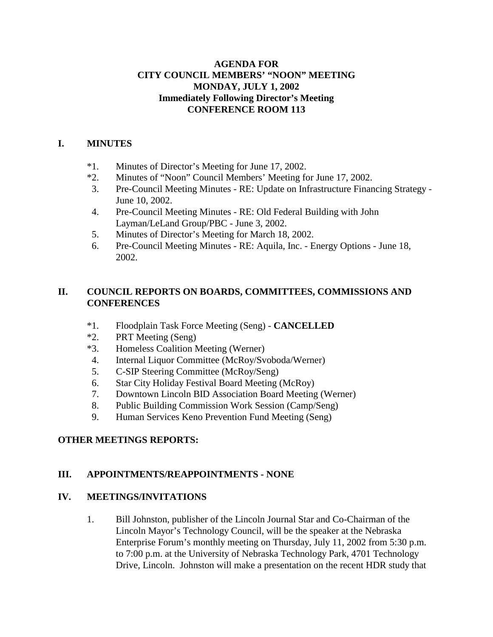### **AGENDA FOR CITY COUNCIL MEMBERS' "NOON" MEETING MONDAY, JULY 1, 2002 Immediately Following Director's Meeting CONFERENCE ROOM 113**

### **I. MINUTES**

- \*1. Minutes of Director's Meeting for June 17, 2002.
- \*2. Minutes of "Noon" Council Members' Meeting for June 17, 2002.
- 3. Pre-Council Meeting Minutes RE: Update on Infrastructure Financing Strategy June 10, 2002.
- 4. Pre-Council Meeting Minutes RE: Old Federal Building with John Layman/LeLand Group/PBC - June 3, 2002.
- 5. Minutes of Director's Meeting for March 18, 2002.
- 6. Pre-Council Meeting Minutes RE: Aquila, Inc. Energy Options June 18, 2002.

# **II. COUNCIL REPORTS ON BOARDS, COMMITTEES, COMMISSIONS AND CONFERENCES**

- \*1. Floodplain Task Force Meeting (Seng) **CANCELLED**
- \*2. PRT Meeting (Seng)
- \*3. Homeless Coalition Meeting (Werner)
- 4. Internal Liquor Committee (McRoy/Svoboda/Werner)
- 5. C-SIP Steering Committee (McRoy/Seng)
- 6. Star City Holiday Festival Board Meeting (McRoy)
- 7. Downtown Lincoln BID Association Board Meeting (Werner)
- 8. Public Building Commission Work Session (Camp/Seng)
- 9. Human Services Keno Prevention Fund Meeting (Seng)

# **OTHER MEETINGS REPORTS:**

# **III. APPOINTMENTS/REAPPOINTMENTS - NONE**

### **IV. MEETINGS/INVITATIONS**

1. Bill Johnston, publisher of the Lincoln Journal Star and Co-Chairman of the Lincoln Mayor's Technology Council, will be the speaker at the Nebraska Enterprise Forum's monthly meeting on Thursday, July 11, 2002 from 5:30 p.m. to 7:00 p.m. at the University of Nebraska Technology Park, 4701 Technology Drive, Lincoln. Johnston will make a presentation on the recent HDR study that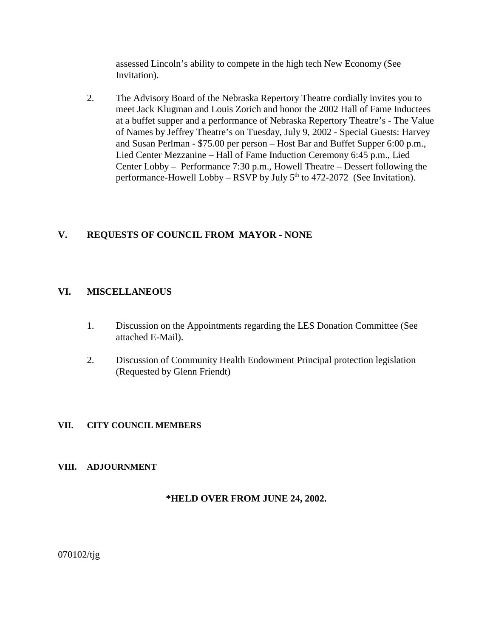assessed Lincoln's ability to compete in the high tech New Economy (See Invitation).

2. The Advisory Board of the Nebraska Repertory Theatre cordially invites you to meet Jack Klugman and Louis Zorich and honor the 2002 Hall of Fame Inductees at a buffet supper and a performance of Nebraska Repertory Theatre's - The Value of Names by Jeffrey Theatre's on Tuesday, July 9, 2002 - Special Guests: Harvey and Susan Perlman - \$75.00 per person – Host Bar and Buffet Supper 6:00 p.m., Lied Center Mezzanine – Hall of Fame Induction Ceremony 6:45 p.m., Lied Center Lobby – Performance 7:30 p.m., Howell Theatre – Dessert following the performance-Howell Lobby – RSVP by July  $5<sup>th</sup>$  to 472-2072 (See Invitation).

### **V. REQUESTS OF COUNCIL FROM MAYOR - NONE**

### **VI. MISCELLANEOUS**

- 1. Discussion on the Appointments regarding the LES Donation Committee (See attached E-Mail).
- 2. Discussion of Community Health Endowment Principal protection legislation (Requested by Glenn Friendt)

### **VII. CITY COUNCIL MEMBERS**

### **VIII. ADJOURNMENT**

### **\*HELD OVER FROM JUNE 24, 2002.**

070102/tjg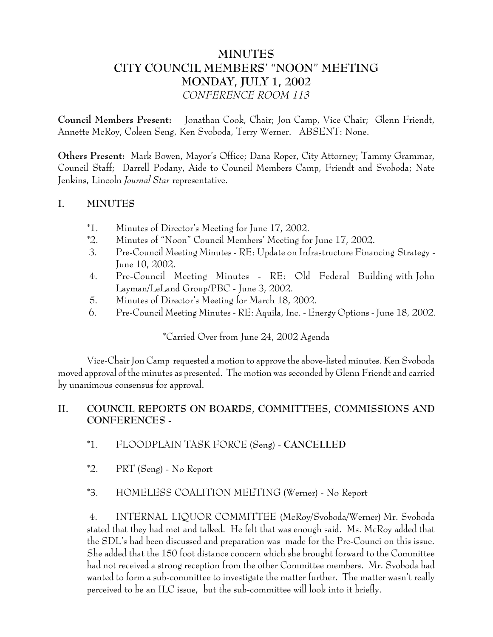# **MINUTES CITY COUNCIL MEMBERS' "NOON" MEETING MONDAY, JULY 1, 2002** *CONFERENCE ROOM 113*

**Council Members Present:** Jonathan Cook, Chair; Jon Camp, Vice Chair; Glenn Friendt, Annette McRoy, Coleen Seng, Ken Svoboda, Terry Werner. ABSENT: None.

**Others Present:** Mark Bowen, Mayor's Office; Dana Roper, City Attorney; Tammy Grammar, Council Staff; Darrell Podany, Aide to Council Members Camp, Friendt and Svoboda; Nate Jenkins, Lincoln *Journal Star* representative.

### **I. MINUTES**

- \*1. Minutes of Director's Meeting for June 17, 2002.
- \*2. Minutes of "Noon" Council Members' Meeting for June 17, 2002.
- 3. Pre-Council Meeting Minutes RE: Update on Infrastructure Financing Strategy June 10, 2002.
- 4. Pre-Council Meeting Minutes RE: Old Federal Building with John Layman/LeLand Group/PBC - June 3, 2002.
- 5. Minutes of Director's Meeting for March 18, 2002.
- 6. Pre-Council Meeting Minutes RE: Aquila, Inc. Energy Options June 18, 2002.

# \*Carried Over from June 24, 2002 Agenda

Vice-Chair Jon Camp requested a motion to approve the above-listed minutes. Ken Svoboda moved approval of the minutes as presented. The motion was seconded by Glenn Friendt and carried by unanimous consensus for approval.

# **II. COUNCIL REPORTS ON BOARDS, COMMITTEES, COMMISSIONS AND CONFERENCES -**

- \*1. FLOODPLAIN TASK FORCE (Seng) **CANCELLED**
- \*2. PRT (Seng) No Report

# \*3. HOMELESS COALITION MEETING (Werner) - No Report

 4. INTERNAL LIQUOR COMMITTEE (McRoy/Svoboda/Werner) Mr. Svoboda stated that they had met and talked. He felt that was enough said. Ms. McRoy added that the SDL's had been discussed and preparation was made for the Pre-Counci on this issue. She added that the 150 foot distance concern which she brought forward to the Committee had not received a strong reception from the other Committee members. Mr. Svoboda had wanted to form a sub-committee to investigate the matter further. The matter wasn't really perceived to be an ILC issue, but the sub-committee will look into it briefly.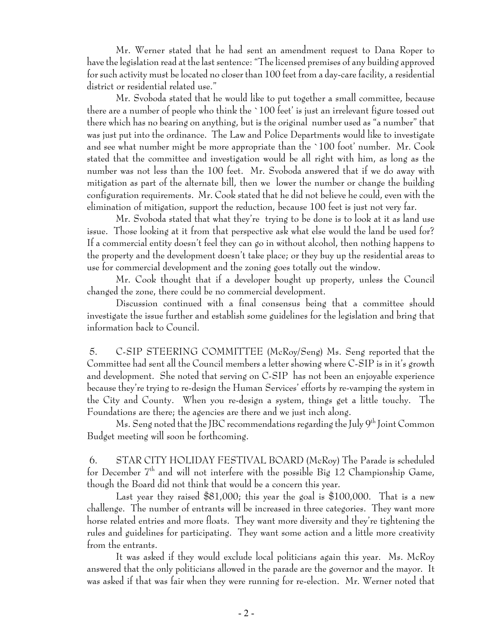Mr. Werner stated that he had sent an amendment request to Dana Roper to have the legislation read at the last sentence: "The licensed premises of any building approved for such activity must be located no closer than 100 feet from a day-care facility, a residential district or residential related use."

Mr. Svoboda stated that he would like to put together a small committee, because there are a number of people who think the `100 feet' is just an irrelevant figure tossed out there which has no bearing on anything, but is the original number used as "a number" that was just put into the ordinance. The Law and Police Departments would like to investigate and see what number might be more appropriate than the `100 foot' number. Mr. Cook stated that the committee and investigation would be all right with him, as long as the number was not less than the 100 feet. Mr. Svoboda answered that if we do away with mitigation as part of the alternate bill, then we lower the number or change the building configuration requirements. Mr. Cook stated that he did not believe he could, even with the elimination of mitigation, support the reduction, because 100 feet is just not very far.

Mr. Svoboda stated that what they're trying to be done is to look at it as land use issue. Those looking at it from that perspective ask what else would the land be used for? If a commercial entity doesn't feel they can go in without alcohol, then nothing happens to the property and the development doesn't take place; or they buy up the residential areas to use for commercial development and the zoning goes totally out the window.

Mr. Cook thought that if a developer bought up property, unless the Council changed the zone, there could be no commercial development.

Discussion continued with a final consensus being that a committee should investigate the issue further and establish some guidelines for the legislation and bring that information back to Council.

 5. C-SIP STEERING COMMITTEE (McRoy/Seng) Ms. Seng reported that the Committee had sent all the Council members a letter showing where C-SIP is in it's growth and development. She noted that serving on C-SIP has not been an enjoyable experience because they're trying to re-design the Human Services' efforts by re-vamping the system in the City and County. When you re-design a system, things get a little touchy. The Foundations are there; the agencies are there and we just inch along.

Ms. Seng noted that the JBC recommendations regarding the July  $9^{th}$  Joint Common Budget meeting will soon be forthcoming.

 6. STAR CITY HOLIDAY FESTIVAL BOARD (McRoy) The Parade is scheduled for December  $7<sup>th</sup>$  and will not interfere with the possible Big 12 Championship Game, though the Board did not think that would be a concern this year.

Last year they raised  $$81,000$ ; this year the goal is \$100,000. That is a new challenge. The number of entrants will be increased in three categories. They want more horse related entries and more floats. They want more diversity and they're tightening the rules and guidelines for participating. They want some action and a little more creativity from the entrants.

It was asked if they would exclude local politicians again this year. Ms. McRoy answered that the only politicians allowed in the parade are the governor and the mayor. It was asked if that was fair when they were running for re-election. Mr. Werner noted that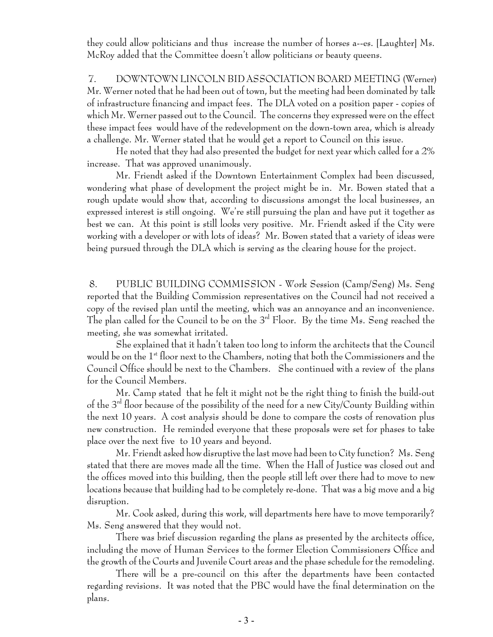they could allow politicians and thus increase the number of horses a--es. [Laughter] Ms. McRoy added that the Committee doesn't allow politicians or beauty queens.

 7. DOWNTOWN LINCOLN BID ASSOCIATION BOARD MEETING (Werner) Mr. Werner noted that he had been out of town, but the meeting had been dominated by talk of infrastructure financing and impact fees. The DLA voted on a position paper - copies of which Mr. Werner passed out to the Council. The concerns they expressed were on the effect these impact fees would have of the redevelopment on the down-town area, which is already a challenge. Mr. Werner stated that he would get a report to Council on this issue.

He noted that they had also presented the budget for next year which called for a 2% increase. That was approved unanimously.

Mr. Friendt asked if the Downtown Entertainment Complex had been discussed, wondering what phase of development the project might be in. Mr. Bowen stated that a rough update would show that, according to discussions amongst the local businesses, an expressed interest is still ongoing. We're still pursuing the plan and have put it together as best we can. At this point is still looks very positive. Mr. Friendt asked if the City were working with a developer or with lots of ideas? Mr. Bowen stated that a variety of ideas were being pursued through the DLA which is serving as the clearing house for the project.

 8. PUBLIC BUILDING COMMISSION - Work Session (Camp/Seng) Ms. Seng reported that the Building Commission representatives on the Council had not received a copy of the revised plan until the meeting, which was an annoyance and an inconvenience. The plan called for the Council to be on the 3<sup>rd</sup> Floor. By the time Ms. Seng reached the meeting, she was somewhat irritated.

She explained that it hadn't taken too long to inform the architects that the Council would be on the 1st floor next to the Chambers, noting that both the Commissioners and the Council Office should be next to the Chambers. She continued with a review of the plans for the Council Members.

Mr. Camp stated that he felt it might not be the right thing to finish the build-out of the  $3^{rd}$  floor because of the possibility of the need for a new City/County Building within the next 10 years. A cost analysis should be done to compare the costs of renovation plus new construction. He reminded everyone that these proposals were set for phases to take place over the next five to 10 years and beyond.

Mr. Friendt asked how disruptive the last move had been to City function? Ms. Seng stated that there are moves made all the time. When the Hall of Justice was closed out and the offices moved into this building, then the people still left over there had to move to new locations because that building had to be completely re-done. That was a big move and a big disruption.

Mr. Cook asked, during this work, will departments here have to move temporarily? Ms. Seng answered that they would not.

There was brief discussion regarding the plans as presented by the architects office, including the move of Human Services to the former Election Commissioners Office and the growth of the Courts and Juvenile Court areas and the phase schedule for the remodeling.

There will be a pre-council on this after the departments have been contacted regarding revisions. It was noted that the PBC would have the final determination on the plans.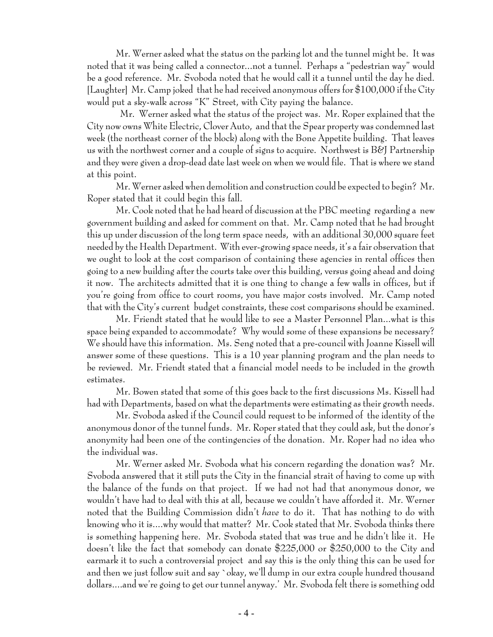Mr. Werner asked what the status on the parking lot and the tunnel might be. It was noted that it was being called a connector...not a tunnel. Perhaps a "pedestrian way" would be a good reference. Mr. Svoboda noted that he would call it a tunnel until the day he died. [Laughter] Mr. Camp joked that he had received anonymous offers for \$100,000 if the City would put a sky-walk across "K" Street, with City paying the balance.

 Mr. Werner asked what the status of the project was. Mr. Roper explained that the City now owns White Electric, Clover Auto, and that the Spear property was condemned last week (the northeast corner of the block) along with the Bone Appetite building. That leaves us with the northwest corner and a couple of signs to acquire. Northwest is B&J Partnership and they were given a drop-dead date last week on when we would file. That is where we stand at this point.

Mr. Werner asked when demolition and construction could be expected to begin? Mr. Roper stated that it could begin this fall.

Mr. Cook noted that he had heard of discussion at the PBC meeting regarding a new government building and asked for comment on that. Mr. Camp noted that he had brought this up under discussion of the long term space needs, with an additional 30,000 square feet needed by the Health Department. With ever-growing space needs, it's a fair observation that we ought to look at the cost comparison of containing these agencies in rental offices then going to a new building after the courts take over this building, versus going ahead and doing it now. The architects admitted that it is one thing to change a few walls in offices, but if you're going from office to court rooms, you have major costs involved. Mr. Camp noted that with the City's current budget constraints, these cost comparisons should be examined.

Mr. Friendt stated that he would like to see a Master Personnel Plan...what is this space being expanded to accommodate? Why would some of these expansions be necessary? We should have this information. Ms. Seng noted that a pre-council with Joanne Kissell will answer some of these questions. This is a 10 year planning program and the plan needs to be reviewed. Mr. Friendt stated that a financial model needs to be included in the growth estimates.

Mr. Bowen stated that some of this goes back to the first discussions Ms. Kissell had had with Departments, based on what the departments were estimating as their growth needs.

Mr. Svoboda asked if the Council could request to be informed of the identity of the anonymous donor of the tunnel funds. Mr. Roper stated that they could ask, but the donor's anonymity had been one of the contingencies of the donation. Mr. Roper had no idea who the individual was.

Mr. Werner asked Mr. Svoboda what his concern regarding the donation was? Mr. Svoboda answered that it still puts the City in the financial strait of having to come up with the balance of the funds on that project. If we had not had that anonymous donor, we wouldn't have had to deal with this at all, because we couldn't have afforded it. Mr. Werner noted that the Building Commission didn't *have* to do it. That has nothing to do with knowing who it is....why would that matter? Mr. Cook stated that Mr. Svoboda thinks there is something happening here. Mr. Svoboda stated that was true and he didn't like it. He doesn't like the fact that somebody can donate \$225,000 or \$250,000 to the City and earmark it to such a controversial project and say this is the only thing this can be used for and then we just follow suit and say `okay, we'll dump in our extra couple hundred thousand dollars....and we're going to get our tunnel anyway.' Mr. Svoboda felt there is something odd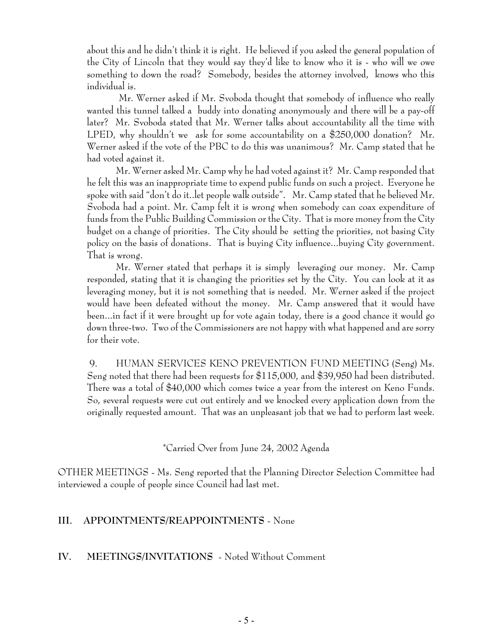about this and he didn't think it is right. He believed if you asked the general population of the City of Lincoln that they would say they'd like to know who it is - who will we owe something to down the road? Somebody, besides the attorney involved, knows who this individual is.

 Mr. Werner asked if Mr. Svoboda thought that somebody of influence who really wanted this tunnel talked a buddy into donating anonymously and there will be a pay-off later? Mr. Svoboda stated that Mr. Werner talks about accountability all the time with LPED, why shouldn't we ask for some accountability on a \$250,000 donation? Mr. Werner asked if the vote of the PBC to do this was unanimous? Mr. Camp stated that he had voted against it.

Mr. Werner asked Mr. Camp why he had voted against it? Mr. Camp responded that he felt this was an inappropriate time to expend public funds on such a project. Everyone he spoke with said "don't do it..let people walk outside". Mr. Camp stated that he believed Mr. Svoboda had a point. Mr. Camp felt it is wrong when somebody can coax expenditure of funds from the Public Building Commission or the City. That is more money from the City budget on a change of priorities. The City should be setting the priorities, not basing City policy on the basis of donations. That is buying City influence...buying City government. That is wrong.

Mr. Werner stated that perhaps it is simply leveraging our money. Mr. Camp responded, stating that it is changing the priorities set by the City. You can look at it as leveraging money, but it is not something that is needed. Mr. Werner asked if the project would have been defeated without the money. Mr. Camp answered that it would have been...in fact if it were brought up for vote again today, there is a good chance it would go down three-two. Two of the Commissioners are not happy with what happened and are sorry for their vote.

9. HUMAN SERVICES KENO PREVENTION FUND MEETING (Seng) Ms. Seng noted that there had been requests for \$115,000, and \$39,950 had been distributed. There was a total of \$40,000 which comes twice a year from the interest on Keno Funds. So, several requests were cut out entirely and we knocked every application down from the originally requested amount. That was an unpleasant job that we had to perform last week.

\*Carried Over from June 24, 2002 Agenda

OTHER MEETINGS - Ms. Seng reported that the Planning Director Selection Committee had interviewed a couple of people since Council had last met.

# **III. APPOINTMENTS/REAPPOINTMENTS** - None

### **IV. MEETINGS/INVITATIONS** - Noted Without Comment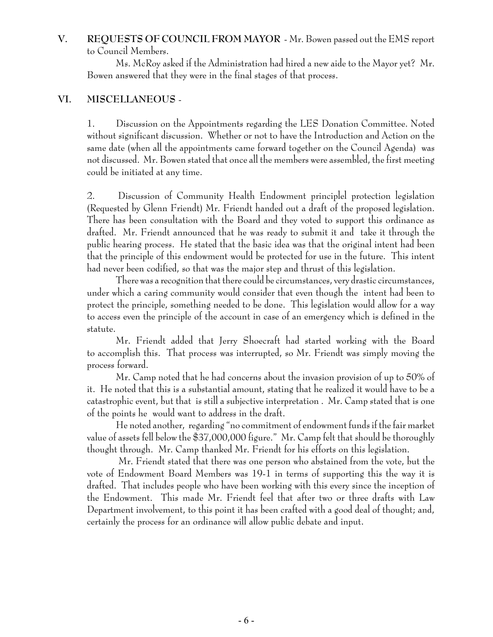# **V. REQUESTS OF COUNCIL FROM MAYOR** - Mr. Bowen passed out the EMS report to Council Members.

Ms. McRoy asked if the Administration had hired a new aide to the Mayor yet? Mr. Bowen answered that they were in the final stages of that process.

# **VI. MISCELLANEOUS** -

1. Discussion on the Appointments regarding the LES Donation Committee. Noted without significant discussion. Whether or not to have the Introduction and Action on the same date (when all the appointments came forward together on the Council Agenda) was not discussed. Mr. Bowen stated that once all the members were assembled, the first meeting could be initiated at any time.

2. Discussion of Community Health Endowment principlel protection legislation (Requested by Glenn Friendt) Mr. Friendt handed out a draft of the proposed legislation. There has been consultation with the Board and they voted to support this ordinance as drafted. Mr. Friendt announced that he was ready to submit it and take it through the public hearing process. He stated that the basic idea was that the original intent had been that the principle of this endowment would be protected for use in the future. This intent had never been codified, so that was the major step and thrust of this legislation.

There was a recognition that there could be circumstances, very drastic circumstances, under which a caring community would consider that even though the intent had been to protect the principle, something needed to be done. This legislation would allow for a way to access even the principle of the account in case of an emergency which is defined in the statute.

Mr. Friendt added that Jerry Shoecraft had started working with the Board to accomplish this. That process was interrupted, so Mr. Friendt was simply moving the process forward.

Mr. Camp noted that he had concerns about the invasion provision of up to 50% of it. He noted that this is a substantial amount, stating that he realized it would have to be a catastrophic event, but that is still a subjective interpretation . Mr. Camp stated that is one of the points he would want to address in the draft.

He noted another, regarding "no commitment of endowment funds if the fair market value of assets fell below the \$37,000,000 figure." Mr. Camp felt that should be thoroughly thought through. Mr. Camp thanked Mr. Friendt for his efforts on this legislation.

 Mr. Friendt stated that there was one person who abstained from the vote, but the vote of Endowment Board Members was 19-1 in terms of supporting this the way it is drafted. That includes people who have been working with this every since the inception of the Endowment. This made Mr. Friendt feel that after two or three drafts with Law Department involvement, to this point it has been crafted with a good deal of thought; and, certainly the process for an ordinance will allow public debate and input.